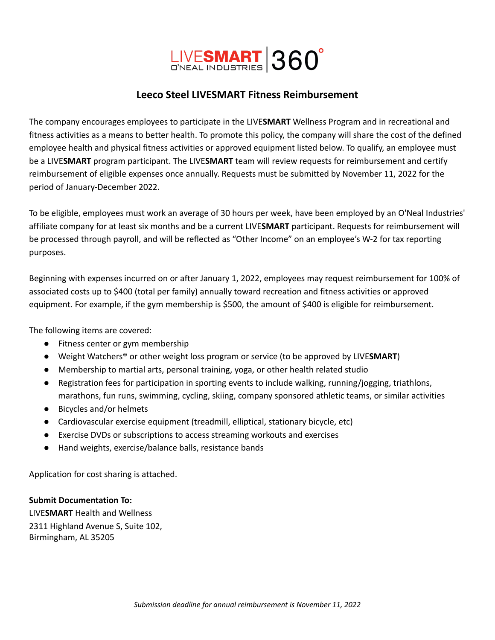

### **Leeco Steel LIVESMART Fitness Reimbursement**

The company encourages employees to participate in the LIVE**SMART** Wellness Program and in recreational and fitness activities as a means to better health. To promote this policy, the company will share the cost of the defined employee health and physical fitness activities or approved equipment listed below. To qualify, an employee must be a LIVE**SMART** program participant. The LIVE**SMART** team will review requests for reimbursement and certify reimbursement of eligible expenses once annually. Requests must be submitted by November 11, 2022 for the period of January-December 2022.

To be eligible, employees must work an average of 30 hours per week, have been employed by an O'Neal Industries' affiliate company for at least six months and be a current LIVE**SMART** participant. Requests for reimbursement will be processed through payroll, and will be reflected as "Other Income" on an employee's W-2 for tax reporting purposes.

Beginning with expenses incurred on or after January 1, 2022, employees may request reimbursement for 100% of associated costs up to \$400 (total per family) annually toward recreation and fitness activities or approved equipment. For example, if the gym membership is \$500, the amount of \$400 is eligible for reimbursement.

The following items are covered:

- Fitness center or gym membership
- Weight Watchers® or other weight loss program or service (to be approved by LIVE**SMART**)
- Membership to martial arts, personal training, yoga, or other health related studio
- Registration fees for participation in sporting events to include walking, running/jogging, triathlons, marathons, fun runs, swimming, cycling, skiing, company sponsored athletic teams, or similar activities
- Bicycles and/or helmets
- Cardiovascular exercise equipment (treadmill, elliptical, stationary bicycle, etc)
- Exercise DVDs or subscriptions to access streaming workouts and exercises
- Hand weights, exercise/balance balls, resistance bands

Application for cost sharing is attached.

#### **Submit Documentation To:**

LIVE**SMART** Health and Wellness 2311 Highland Avenue S, Suite 102, Birmingham, AL 35205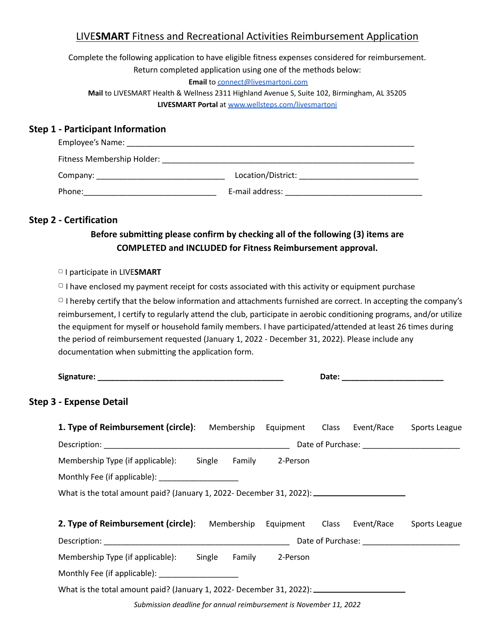# LIVE**SMART** Fitness and Recreational Activities Reimbursement Application

Complete the following application to have eligible fitness expenses considered for reimbursement. Return completed application using one of the methods below:

**Email** to [connect@livesmartoni.com](mailto:connect@livesmartoni.com) **Mail** to LIVESMART Health & Wellness 2311 Highland Avenue S, Suite 102, Birmingham, AL 35205 **LIVESMART Portal** at [www.wellsteps.com/livesmartoni](http://www.wellsteps.com/livesmartoni)

### **Step 1 - Participant Information**

| Employee's Name:           |                    |
|----------------------------|--------------------|
| Fitness Membership Holder: |                    |
| Company:                   | Location/District: |
| Phone:                     | E-mail address:    |

### **Step 2 - Certification**

# **Before submitting please confirm by checking all of the following (3) items are COMPLETED and INCLUDED for Fitness Reimbursement approval.**

▢ I participate in LIVE**SMART**

 $\Box$  I have enclosed my payment receipt for costs associated with this activity or equipment purchase

 $\Box$  I hereby certify that the below information and attachments furnished are correct. In accepting the company's reimbursement, I certify to regularly attend the club, participate in aerobic conditioning programs, and/or utilize the equipment for myself or household family members. I have participated/attended at least 26 times during the period of reimbursement requested (January 1, 2022 - December 31, 2022). Please include any documentation when submitting the application form.

| <b>Step 3 - Expense Detail</b>                                                     |                               |               |
|------------------------------------------------------------------------------------|-------------------------------|---------------|
| <b>1. Type of Reimbursement (circle)</b> : Membership Equipment Class Event/Race   |                               | Sports League |
|                                                                                    |                               |               |
| Membership Type (if applicable): Single Family 2-Person                            |                               |               |
| Monthly Fee (if applicable): __________________                                    |                               |               |
| What is the total amount paid? (January 1, 2022- December 31, 2022): $\frac{1}{2}$ |                               |               |
| <b>2. Type of Reimbursement (circle)</b> : Membership                              | Event/Race<br>Equipment Class | Sports League |
|                                                                                    |                               |               |
| Membership Type (if applicable): Single                                            | Family 2-Person               |               |
| Monthly Fee (if applicable): ____________________                                  |                               |               |
| What is the total amount paid? (January 1, 2022- December 31, 2022): $\frac{1}{1}$ |                               |               |

*Submission deadline for annual reimbursement is November 11, 2022*